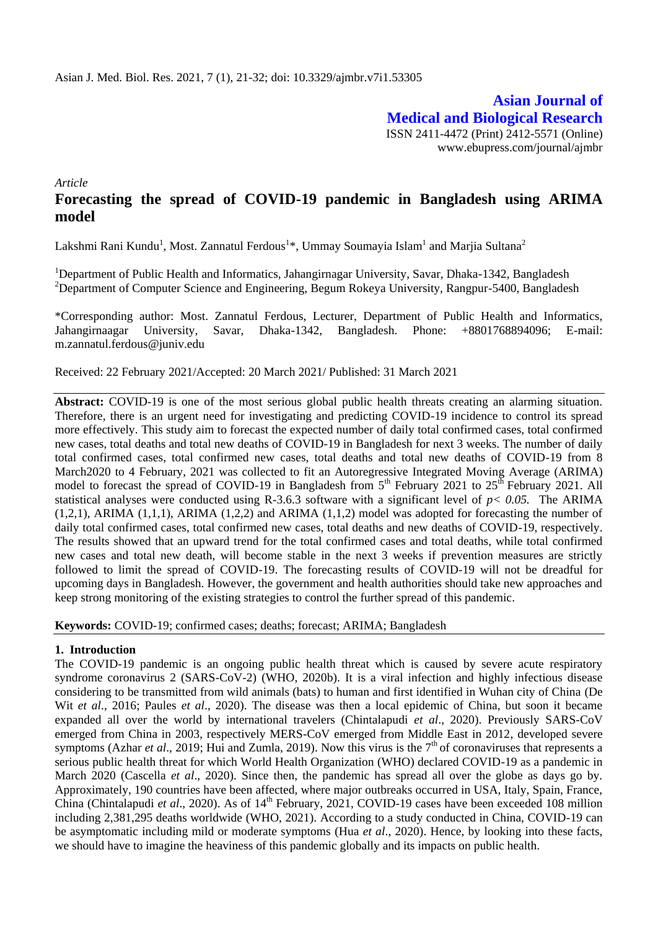**Asian Journal of Medical and Biological Research** ISSN 2411-4472 (Print) 2412-5571 (Online) www.ebupress.com/journal/ajmbr

*Article*

# **Forecasting the spread of COVID-19 pandemic in Bangladesh using ARIMA model**

Lakshmi Rani Kundu<sup>1</sup>, Most. Zannatul Ferdous<sup>1</sup>\*, Ummay Soumayia Islam<sup>1</sup> and Marjia Sultana<sup>2</sup>

<sup>1</sup>Department of Public Health and Informatics, Jahangirnagar University, Savar, Dhaka-1342, Bangladesh <sup>2</sup>Department of Computer Science and Engineering, Begum Rokeya University, Rangpur-5400, Bangladesh

\*Corresponding author: Most. Zannatul Ferdous, Lecturer, Department of Public Health and Informatics, Jahangirnaagar University, Savar, Dhaka-1342, Bangladesh. Phone: +8801768894096; E-mail: m.zannatul.ferdous@juniv.edu

Received: 22 February 2021/Accepted: 20 March 2021/ Published: 31 March 2021

**Abstract:** COVID-19 is one of the most serious global public health threats creating an alarming situation. Therefore, there is an urgent need for investigating and predicting COVID-19 incidence to control its spread more effectively. This study aim to forecast the expected number of daily total confirmed cases, total confirmed new cases, total deaths and total new deaths of COVID-19 in Bangladesh for next 3 weeks. The number of daily total confirmed cases, total confirmed new cases, total deaths and total new deaths of COVID-19 from 8 March2020 to 4 February, 2021 was collected to fit an Autoregressive Integrated Moving Average (ARIMA) model to forecast the spread of COVID-19 in Bangladesh from  $5<sup>th</sup>$  February 2021 to  $25<sup>th</sup>$  February 2021. All statistical analyses were conducted using R-3.6.3 software with a significant level of *p< 0.05.* The ARIMA  $(1,2,1)$ , ARIMA  $(1,1,1)$ , ARIMA  $(1,2,2)$  and ARIMA  $(1,1,2)$  model was adopted for forecasting the number of daily total confirmed cases, total confirmed new cases, total deaths and new deaths of COVID-19, respectively. The results showed that an upward trend for the total confirmed cases and total deaths, while total confirmed new cases and total new death, will become stable in the next 3 weeks if prevention measures are strictly followed to limit the spread of COVID-19. The forecasting results of COVID-19 will not be dreadful for upcoming days in Bangladesh. However, the government and health authorities should take new approaches and keep strong monitoring of the existing strategies to control the further spread of this pandemic.

**Keywords:** COVID-19; confirmed cases; deaths; forecast; ARIMA; Bangladesh

#### **1. Introduction**

The COVID-19 pandemic is an ongoing public health threat which is caused by severe acute respiratory syndrome coronavirus 2 (SARS-CoV-2) (WHO, 2020b). It is a viral infection and highly infectious disease considering to be transmitted from wild animals (bats) to human and first identified in Wuhan city of China (De Wit *et al*., 2016; Paules *et al*., 2020). The disease was then a local epidemic of China, but soon it became expanded all over the world by international travelers (Chintalapudi *et al*., 2020). Previously SARS-CoV emerged from China in 2003, respectively MERS-CoV emerged from Middle East in 2012, developed severe symptoms (Azhar *et al.*, 2019; Hui and Zumla, 2019). Now this virus is the  $7<sup>th</sup>$  of coronaviruses that represents a serious public health threat for which World Health Organization (WHO) declared COVID-19 as a pandemic in March 2020 (Cascella *et al*., 2020). Since then, the pandemic has spread all over the globe as days go by. Approximately, 190 countries have been affected, where major outbreaks occurred in USA, Italy, Spain, France, China (Chintalapudi *et al.*, 2020). As of 14<sup>th</sup> February, 2021, COVID-19 cases have been exceeded 108 million including 2,381,295 deaths worldwide (WHO, 2021). According to a study conducted in China, COVID-19 can be asymptomatic including mild or moderate symptoms (Hua *et al*., 2020). Hence, by looking into these facts, we should have to imagine the heaviness of this pandemic globally and its impacts on public health.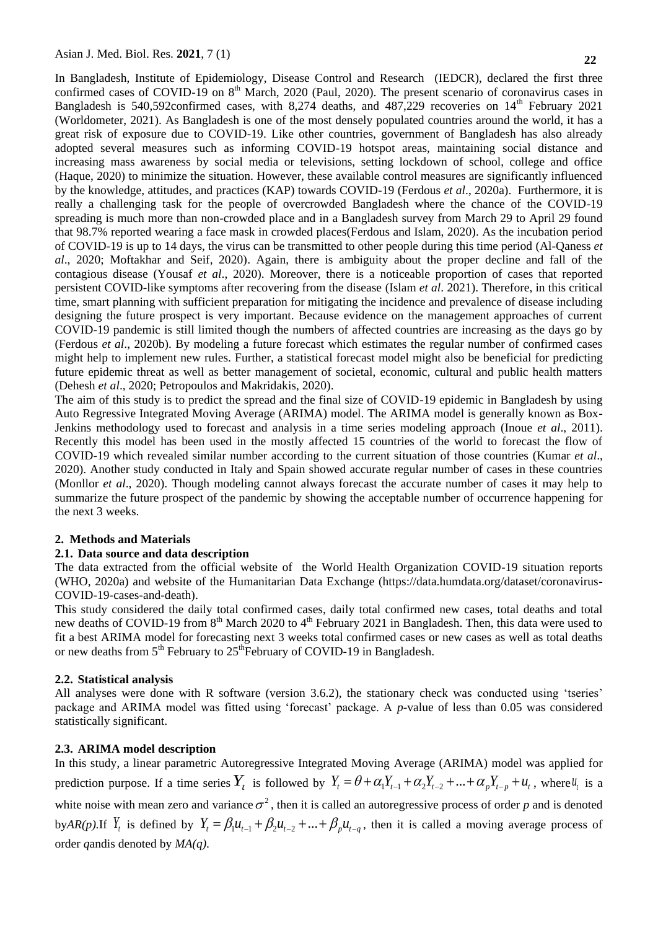In Bangladesh, Institute of Epidemiology, Disease Control and Research (IEDCR), declared the first three confirmed cases of COVID-19 on  $8<sup>th</sup>$  March, 2020 (Paul, 2020). The present scenario of coronavirus cases in Bangladesh is 540,592confirmed cases, with 8,274 deaths, and 487,229 recoveries on 14<sup>th</sup> February 2021 (Worldometer, 2021). As Bangladesh is one of the most densely populated countries around the world, it has a great risk of exposure due to COVID-19. Like other countries, government of Bangladesh has also already adopted several measures such as informing COVID-19 hotspot areas, maintaining social distance and increasing mass awareness by social media or televisions, setting lockdown of school, college and office (Haque, 2020) to minimize the situation. However, these available control measures are significantly influenced by the knowledge, attitudes, and practices (KAP) towards COVID-19 (Ferdous *et al*., 2020a). Furthermore, it is really a challenging task for the people of overcrowded Bangladesh where the chance of the COVID-19 spreading is much more than non-crowded place and in a Bangladesh survey from March 29 to April 29 found that 98.7% reported wearing a face mask in crowded places(Ferdous and Islam, 2020). As the incubation period of COVID-19 is up to 14 days, the virus can be transmitted to other people during this time period (Al-Qaness *et al*., 2020; Moftakhar and Seif, 2020). Again, there is ambiguity about the proper decline and fall of the contagious disease (Yousaf *et al*., 2020). Moreover, there is a noticeable proportion of cases that reported persistent COVID-like symptoms after recovering from the disease (Islam *et al*. 2021). Therefore, in this critical time, smart planning with sufficient preparation for mitigating the incidence and prevalence of disease including designing the future prospect is very important. Because evidence on the management approaches of current COVID-19 pandemic is still limited though the numbers of affected countries are increasing as the days go by (Ferdous *et al*., 2020b). By modeling a future forecast which estimates the regular number of confirmed cases might help to implement new rules. Further, a statistical forecast model might also be beneficial for predicting future epidemic threat as well as better management of societal, economic, cultural and public health matters (Dehesh *et al*., 2020; Petropoulos and Makridakis, 2020).

The aim of this study is to predict the spread and the final size of COVID-19 epidemic in Bangladesh by using Auto Regressive Integrated Moving Average (ARIMA) model. The ARIMA model is generally known as Box-Jenkins methodology used to forecast and analysis in a time series modeling approach (Inoue *et al*., 2011). Recently this model has been used in the mostly affected 15 countries of the world to forecast the flow of COVID-19 which revealed similar number according to the current situation of those countries (Kumar *et al*., 2020). Another study conducted in Italy and Spain showed accurate regular number of cases in these countries (Monllor *et al*., 2020). Though modeling cannot always forecast the accurate number of cases it may help to summarize the future prospect of the pandemic by showing the acceptable number of occurrence happening for the next 3 weeks.

#### **2. Methods and Materials**

#### **2.1. Data source and data description**

The data extracted from the official website of the World Health Organization COVID-19 situation reports (WHO, 2020a) and website of the Humanitarian Data Exchange (https://data.humdata.org/dataset/coronavirus-COVID-19-cases-and-death).

This study considered the daily total confirmed cases, daily total confirmed new cases, total deaths and total new deaths of COVID-19 from 8<sup>th</sup> March 2020 to 4<sup>th</sup> February 2021 in Bangladesh. Then, this data were used to fit a best ARIMA model for forecasting next 3 weeks total confirmed cases or new cases as well as total deaths or new deaths from 5<sup>th</sup> February to 25<sup>th</sup>February of COVID-19 in Bangladesh.

#### **2.2. Statistical analysis**

All analyses were done with R software (version 3.6.2), the stationary check was conducted using 'tseries' package and ARIMA model was fitted using 'forecast' package. A *p*-value of less than 0.05 was considered statistically significant.

#### **2.3. ARIMA model description**

In this study, a linear parametric Autoregressive Integrated Moving Average (ARIMA) model was applied for In this study, a linear parametric Autoregressive Integrated Moving Average (ARIMA) model was applied for prediction purpose. If a time series  $Y_t$  is followed by  $Y_t = \theta + \alpha_1 Y_{t-1} + \alpha_2 Y_{t-2} + ... + \alpha_p Y_{t-p} + u_t$ , where  $u_t$  is white noise with mean zero and variance  $\sigma^2$ , then it is called an autoregressive process of order p and is denoted while holse with healt zero and variance o , then it is called an autoregressive process of order p and is defined by  $Y_t = \beta_1 u_{t-1} + \beta_2 u_{t-2} + ... + \beta_p u_{t-q}$ , then it is called a moving average process of order *q*andis denoted by *MA(q).*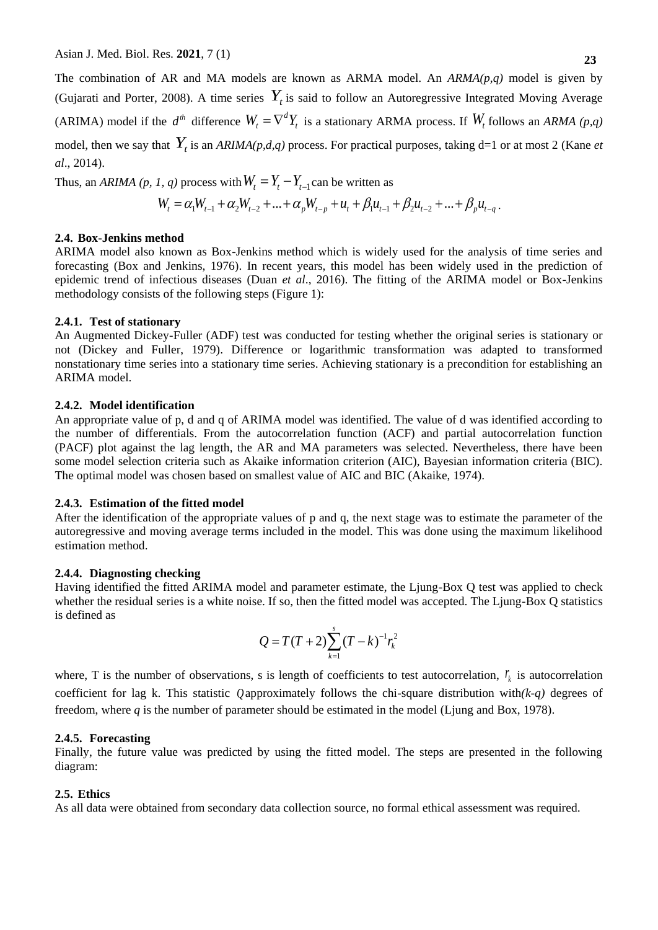The combination of AR and MA models are known as ARMA model. An *ARMA(p,q)* model is given by (Gujarati and Porter, 2008). A time series  $Y_t$  is said to follow an Autoregressive Integrated Moving Average (ARIMA) model if the  $d^{th}$  difference  $W_t = \nabla^d Y_t$  is a stationary ARMA process. If  $W_t$  follows an *ARMA* (p,q) model, then we say that  $Y_t$  is an  $ARIMA(p,d,q)$  process. For practical purposes, taking d=1 or at most 2 (Kane *et al*., 2014).

Thus, an *ARIMA* (*p*, *1*, *q*) process with  $W_t = Y_t - Y_{t-1}$  can be written as

*I*, *q*) process with 
$$
W_t = Y_t - Y_{t-1}
$$
 can be written as  
\n
$$
W_t = \alpha_1 W_{t-1} + \alpha_2 W_{t-2} + ... + \alpha_p W_{t-p} + u_t + \beta_1 u_{t-1} + \beta_2 u_{t-2} + ... + \beta_p u_{t-q}.
$$

#### **2.4. Box-Jenkins method**

ARIMA model also known as Box-Jenkins method which is widely used for the analysis of time series and forecasting (Box and Jenkins, 1976). In recent years, this model has been widely used in the prediction of epidemic trend of infectious diseases (Duan *et al*., 2016). The fitting of the ARIMA model or Box-Jenkins methodology consists of the following steps (Figure 1):

#### **2.4.1. Test of stationary**

An Augmented Dickey-Fuller (ADF) test was conducted for testing whether the original series is stationary or not (Dickey and Fuller, 1979). Difference or logarithmic transformation was adapted to transformed nonstationary time series into a stationary time series. Achieving stationary is a precondition for establishing an ARIMA model.

#### **2.4.2. Model identification**

An appropriate value of p, d and q of ARIMA model was identified. The value of d was identified according to the number of differentials. From the autocorrelation function (ACF) and partial autocorrelation function (PACF) plot against the lag length, the AR and MA parameters was selected. Nevertheless, there have been some model selection criteria such as Akaike information criterion (AIC), Bayesian information criteria (BIC). The optimal model was chosen based on smallest value of AIC and BIC (Akaike, 1974).

## **2.4.3. Estimation of the fitted model**

After the identification of the appropriate values of p and q, the next stage was to estimate the parameter of the autoregressive and moving average terms included in the model. This was done using the maximum likelihood estimation method.

#### **2.4.4. Diagnosting checking**

Having identified the fitted ARIMA model and parameter estimate, the Ljung-Box Q test was applied to check whether the residual series is a white noise. If so, then the fitted model was accepted. The Ljung-Box Q statistics is defined as

$$
Q = T(T+2) \sum_{k=1}^{s} (T-k)^{-1} r_k^2
$$

where, T is the number of observations, s is length of coefficients to test autocorrelation,  $r_k$  is autocorrelation coefficient for lag k. This statistic Q approximately follows the chi-square distribution with $(k-q)$  degrees of freedom, where *q* is the number of parameter should be estimated in the model (Ljung and Box, 1978).

#### **2.4.5. Forecasting**

Finally, the future value was predicted by using the fitted model. The steps are presented in the following diagram:

### **2.5. Ethics**

As all data were obtained from secondary data collection source, no formal ethical assessment was required.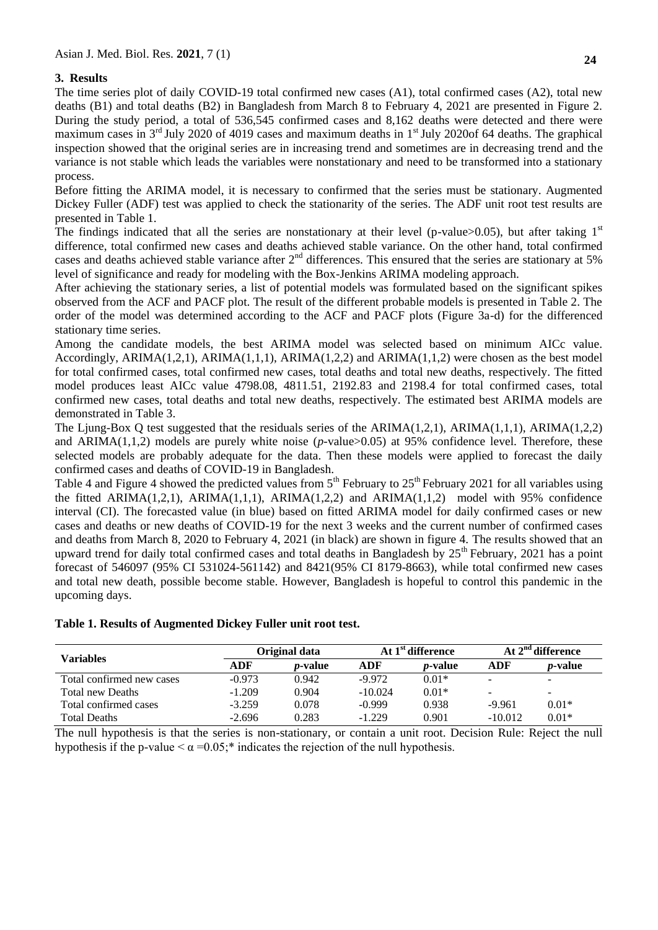## **3. Results**

The time series plot of daily COVID-19 total confirmed new cases (A1), total confirmed cases (A2), total new deaths (B1) and total deaths (B2) in Bangladesh from March 8 to February 4, 2021 are presented in Figure 2. During the study period, a total of 536,545 confirmed cases and 8,162 deaths were detected and there were maximum cases in  $3<sup>rd</sup>$  July 2020 of 4019 cases and maximum deaths in  $1<sup>st</sup>$  July 2020of 64 deaths. The graphical inspection showed that the original series are in increasing trend and sometimes are in decreasing trend and the variance is not stable which leads the variables were nonstationary and need to be transformed into a stationary process.

Before fitting the ARIMA model, it is necessary to confirmed that the series must be stationary. Augmented Dickey Fuller (ADF) test was applied to check the stationarity of the series. The ADF unit root test results are presented in Table 1.

The findings indicated that all the series are nonstationary at their level (p-value>0.05), but after taking  $1<sup>st</sup>$ difference, total confirmed new cases and deaths achieved stable variance. On the other hand, total confirmed cases and deaths achieved stable variance after 2<sup>nd</sup> differences. This ensured that the series are stationary at 5% level of significance and ready for modeling with the Box-Jenkins ARIMA modeling approach.

After achieving the stationary series, a list of potential models was formulated based on the significant spikes observed from the ACF and PACF plot. The result of the different probable models is presented in Table 2. The order of the model was determined according to the ACF and PACF plots (Figure 3a-d) for the differenced stationary time series.

Among the candidate models, the best ARIMA model was selected based on minimum AICc value. Accordingly,  $ARIMA(1,2,1)$ ,  $ARIMA(1,1,1)$ ,  $ARIMA(1,2,2)$  and  $ARIMA(1,1,2)$  were chosen as the best model for total confirmed cases, total confirmed new cases, total deaths and total new deaths, respectively. The fitted model produces least AICc value 4798.08, 4811.51, 2192.83 and 2198.4 for total confirmed cases, total confirmed new cases, total deaths and total new deaths, respectively. The estimated best ARIMA models are demonstrated in Table 3.

The Ljung-Box Q test suggested that the residuals series of the ARIMA(1,2,1), ARIMA(1,1,1), ARIMA(1,2,2) and ARIMA(1,1,2) models are purely white noise (*p*-value>0.05) at 95% confidence level. Therefore, these selected models are probably adequate for the data. Then these models were applied to forecast the daily confirmed cases and deaths of COVID-19 in Bangladesh.

Table 4 and Figure 4 showed the predicted values from  $5<sup>th</sup>$  February to  $25<sup>th</sup>$  February 2021 for all variables using the fitted ARIMA(1,2,1), ARIMA(1,1,1), ARIMA(1,2,2) and ARIMA(1,1,2) model with 95% confidence interval (CI). The forecasted value (in blue) based on fitted ARIMA model for daily confirmed cases or new cases and deaths or new deaths of COVID-19 for the next 3 weeks and the current number of confirmed cases and deaths from March 8, 2020 to February 4, 2021 (in black) are shown in figure 4. The results showed that an upward trend for daily total confirmed cases and total deaths in Bangladesh by  $25<sup>th</sup>$  February, 2021 has a point forecast of 546097 (95% CI 531024-561142) and 8421(95% CI 8179-8663), while total confirmed new cases and total new death, possible become stable. However, Bangladesh is hopeful to control this pandemic in the upcoming days.

## **Table 1. Results of Augmented Dickey Fuller unit root test.**

|                           | Original data |                 | At 1 <sup>st</sup> difference |                 | At 2 <sup>nd</sup> difference |                          |
|---------------------------|---------------|-----------------|-------------------------------|-----------------|-------------------------------|--------------------------|
| <b>Variables</b>          | ADF           | <i>p</i> -value | ADF                           | <i>p</i> -value | ADF                           | <i>p</i> -value          |
| Total confirmed new cases | $-0.973$      | 0.942           | $-9.972$                      | $0.01*$         | -                             | $\overline{\phantom{a}}$ |
| Total new Deaths          | $-1.209$      | 0.904           | $-10.024$                     | $0.01*$         | -                             | ۰.                       |
| Total confirmed cases     | $-3.259$      | 0.078           | $-0.999$                      | 0.938           | $-9.961$                      | $0.01*$                  |
| <b>Total Deaths</b>       | $-2.696$      | 0.283           | $-1.229$                      | 0.901           | $-10.012$                     | $0.01*$                  |

The null hypothesis is that the series is non-stationary, or contain a unit root. Decision Rule: Reject the null hypothesis if the p-value  $\lt \alpha = 0.05$ ;<sup>\*</sup> indicates the rejection of the null hypothesis.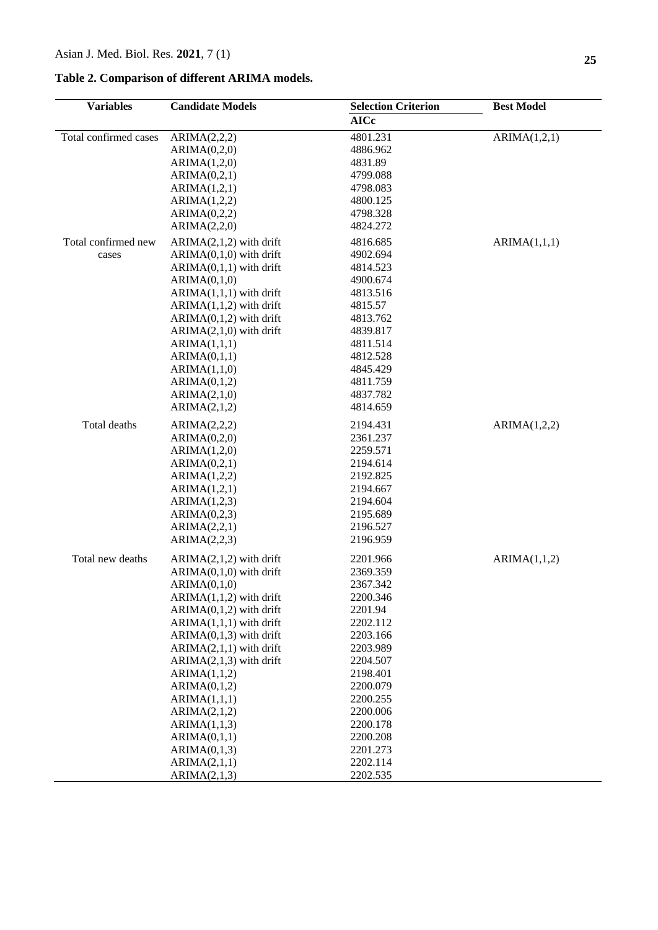## **Table 2. Comparison of different ARIMA models.**

| <b>Variables</b>      | <b>Candidate Models</b>      | <b>Selection Criterion</b> | <b>Best Model</b> |  |
|-----------------------|------------------------------|----------------------------|-------------------|--|
|                       |                              | <b>AICc</b>                |                   |  |
| Total confirmed cases | ARIMA(2,2,2)                 | 4801.231                   | ARIMA(1,2,1)      |  |
|                       | ARIMA(0,2,0)                 | 4886.962                   |                   |  |
|                       | ARIMA(1,2,0)                 | 4831.89                    |                   |  |
|                       | ARIMA(0,2,1)                 | 4799.088                   |                   |  |
|                       | ARIMA(1,2,1)                 | 4798.083                   |                   |  |
|                       | ARIMA(1,2,2)                 | 4800.125                   |                   |  |
|                       | ARIMA(0,2,2)                 | 4798.328                   |                   |  |
|                       | ARIMA(2,2,0)                 | 4824.272                   |                   |  |
| Total confirmed new   | $ARIMA(2,1,2)$ with drift    | 4816.685                   | ARIMA(1,1,1)      |  |
| cases                 | $ARIMA(0,1,0)$ with drift    | 4902.694                   |                   |  |
|                       | $ARIMA(0,1,1)$ with drift    | 4814.523                   |                   |  |
|                       | ARIMA(0,1,0)                 | 4900.674                   |                   |  |
|                       | $ARIMA(1,1,1)$ with drift    | 4813.516                   |                   |  |
|                       | $ARIMA(1,1,2)$ with drift    | 4815.57                    |                   |  |
|                       | $ARIMA(0,1,2)$ with drift    | 4813.762                   |                   |  |
|                       | $ARIMA(2,1,0)$ with drift    | 4839.817                   |                   |  |
|                       | ARIMA(1,1,1)                 | 4811.514                   |                   |  |
|                       | ARIMA(0,1,1)                 | 4812.528                   |                   |  |
|                       | ARIMA(1,1,0)                 | 4845.429                   |                   |  |
|                       | ARIMA(0,1,2)                 | 4811.759                   |                   |  |
|                       | ARIMA(2,1,0)                 | 4837.782                   |                   |  |
|                       | ARIMA(2,1,2)                 | 4814.659                   |                   |  |
| Total deaths          | ARIMA(2,2,2)                 | 2194.431                   | ARIMA(1,2,2)      |  |
|                       | ARIMA(0,2,0)                 | 2361.237                   |                   |  |
|                       | ARIMA(1,2,0)                 | 2259.571                   |                   |  |
|                       | ARIMA(0,2,1)                 | 2194.614                   |                   |  |
|                       | ARIMA(1,2,2)                 | 2192.825                   |                   |  |
|                       | ARIMA(1,2,1)                 | 2194.667                   |                   |  |
|                       | ARIMA(1,2,3)                 | 2194.604                   |                   |  |
|                       | ARIMA(0,2,3)                 | 2195.689                   |                   |  |
|                       | ARIMA(2,2,1)                 | 2196.527                   |                   |  |
|                       | ARIMA(2,2,3)                 | 2196.959                   |                   |  |
| Total new deaths      | $ARIMA(2,1,2)$ with drift    | 2201.966                   | ARIMA(1,1,2)      |  |
|                       | $ARIMA(0,1,0)$ with drift    | 2369.359                   |                   |  |
|                       | ARIMA(0,1,0)                 | 2367.342                   |                   |  |
|                       | $ARIMA(1,1,2)$ with drift    | 2200.346                   |                   |  |
|                       | $ARIMA(0,1,2)$ with drift    | 2201.94                    |                   |  |
|                       | $ARIMA(1,1,1)$ with drift    | 2202.112                   |                   |  |
|                       | $ARIMA(0,1,3)$ with drift    | 2203.166                   |                   |  |
|                       | $ARIMA(2,1,1)$ with drift    | 2203.989                   |                   |  |
|                       | $ARIMA(2,1,3)$ with drift    | 2204.507                   |                   |  |
|                       | ARIMA(1,1,2)                 | 2198.401                   |                   |  |
|                       | ARIMA(0,1,2)                 | 2200.079                   |                   |  |
|                       | ARIMA(1,1,1)<br>ARIMA(2,1,2) | 2200.255<br>2200.006       |                   |  |
|                       | ARIMA(1,1,3)                 | 2200.178                   |                   |  |
|                       | ARIMA(0,1,1)                 | 2200.208                   |                   |  |
|                       | ARIMA(0,1,3)                 | 2201.273                   |                   |  |
|                       | ARIMA(2,1,1)                 | 2202.114                   |                   |  |
|                       | ARIMA(2,1,3)                 | 2202.535                   |                   |  |
|                       |                              |                            |                   |  |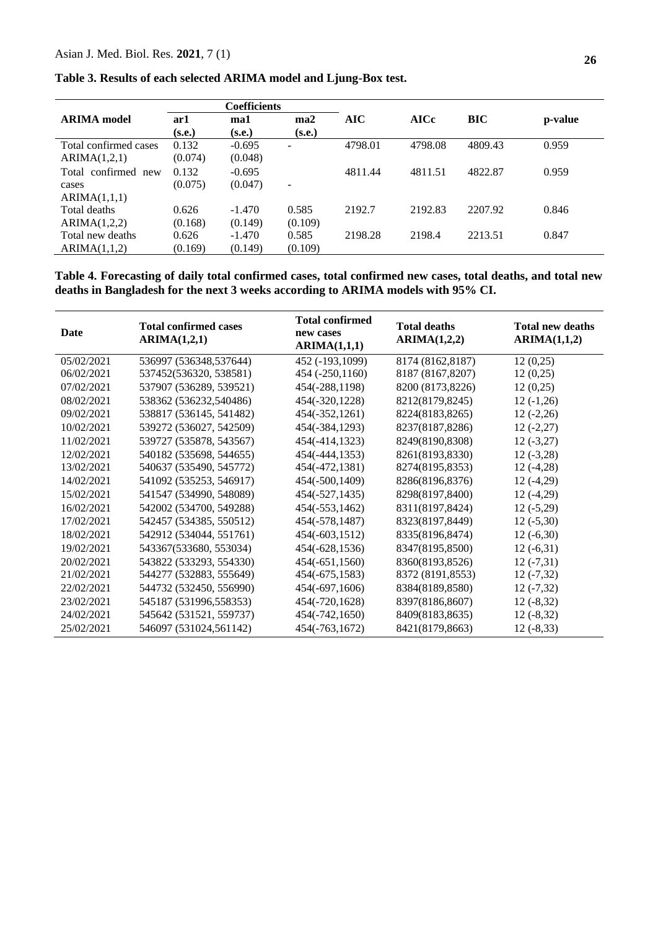| <b>Coefficients</b>   |         |          |                          |            |             |         |         |
|-----------------------|---------|----------|--------------------------|------------|-------------|---------|---------|
| <b>ARIMA</b> model    | ar1     | ma1      | ma2                      | <b>AIC</b> | <b>AICc</b> | BIC     | p-value |
|                       | (s.e.)  | (s.e.)   | (s.e.)                   |            |             |         |         |
| Total confirmed cases | 0.132   | $-0.695$ | $\overline{\phantom{a}}$ | 4798.01    | 4798.08     | 4809.43 | 0.959   |
| ARIMA(1,2,1)          | (0.074) | (0.048)  |                          |            |             |         |         |
| Total confirmed new   | 0.132   | $-0.695$ |                          | 4811.44    | 4811.51     | 4822.87 | 0.959   |
| cases                 | (0.075) | (0.047)  | $\overline{\phantom{a}}$ |            |             |         |         |
| ARIMA(1,1,1)          |         |          |                          |            |             |         |         |
| Total deaths          | 0.626   | $-1.470$ | 0.585                    | 2192.7     | 2192.83     | 2207.92 | 0.846   |
| ARIMA(1,2,2)          | (0.168) | (0.149)  | (0.109)                  |            |             |         |         |
| Total new deaths      | 0.626   | $-1.470$ | 0.585                    | 2198.28    | 2198.4      | 2213.51 | 0.847   |
| ARIMA(1,1,2)          | (0.169) | (0.149)  | (0.109)                  |            |             |         |         |

**Table 3. Results of each selected ARIMA model and Ljung-Box test.**

**Table 4. Forecasting of daily total confirmed cases, total confirmed new cases, total deaths, and total new deaths in Bangladesh for the next 3 weeks according to ARIMA models with 95% CI.**

| Date       | <b>Total confirmed cases</b><br>ARIMA(1,2,1) | <b>Total confirmed</b><br>new cases<br>ARIMA(1,1,1) | <b>Total deaths</b><br>ARIMA(1,2,2) | <b>Total new deaths</b><br>ARIMA(1,1,2) |
|------------|----------------------------------------------|-----------------------------------------------------|-------------------------------------|-----------------------------------------|
| 05/02/2021 | 536997 (536348,537644)                       | 452 (-193,1099)                                     | 8174 (8162,8187)                    | 12(0,25)                                |
| 06/02/2021 | 537452(536320, 538581)                       | 454 (-250,1160)                                     | 8187 (8167,8207)                    | 12(0,25)                                |
| 07/02/2021 | 537907 (536289, 539521)                      | 454(-288,1198)                                      | 8200 (8173,8226)                    | 12(0,25)                                |
| 08/02/2021 | 538362 (536232,540486)                       | 454(-320,1228)                                      | 8212(8179,8245)                     | $12(-1,26)$                             |
| 09/02/2021 | 538817 (536145, 541482)                      | 454(-352,1261)                                      | 8224(8183,8265)                     | $12(-2,26)$                             |
| 10/02/2021 | 539272 (536027, 542509)                      | 454(-384,1293)                                      | 8237(8187,8286)                     | $12(-2,27)$                             |
| 11/02/2021 | 539727 (535878, 543567)                      | 454(-414,1323)                                      | 8249(8190,8308)                     | $12(-3,27)$                             |
| 12/02/2021 | 540182 (535698, 544655)                      | 454(-444,1353)                                      | 8261(8193,8330)                     | $12(-3,28)$                             |
| 13/02/2021 | 540637 (535490, 545772)                      | 454(-472,1381)                                      | 8274(8195,8353)                     | $12(-4,28)$                             |
| 14/02/2021 | 541092 (535253, 546917)                      | 454(-500,1409)                                      | 8286(8196,8376)                     | $12(-4,29)$                             |
| 15/02/2021 | 541547 (534990, 548089)                      | 454(-527,1435)                                      | 8298(8197,8400)                     | $12(-4,29)$                             |
| 16/02/2021 | 542002 (534700, 549288)                      | 454(-553,1462)                                      | 8311(8197,8424)                     | $12(-5,29)$                             |
| 17/02/2021 | 542457 (534385, 550512)                      | 454(-578,1487)                                      | 8323(8197,8449)                     | $12(-5,30)$                             |
| 18/02/2021 | 542912 (534044, 551761)                      | 454(-603,1512)                                      | 8335(8196,8474)                     | $12(-6,30)$                             |
| 19/02/2021 | 543367(533680, 553034)                       | $454(-628, 1536)$                                   | 8347(8195,8500)                     | $12(-6,31)$                             |
| 20/02/2021 | 543822 (533293, 554330)                      | $454(-651, 1560)$                                   | 8360(8193,8526)                     | $12(-7,31)$                             |
| 21/02/2021 | 544277 (532883, 555649)                      | 454(-675,1583)                                      | 8372 (8191,8553)                    | $12(-7,32)$                             |
| 22/02/2021 | 544732 (532450, 556990)                      | $454(-697,1606)$                                    | 8384(8189,8580)                     | $12(-7,32)$                             |
| 23/02/2021 | 545187 (531996,558353)                       | 454(-720,1628)                                      | 8397(8186,8607)                     | $12(-8,32)$                             |
| 24/02/2021 | 545642 (531521, 559737)                      | 454(-742,1650)                                      | 8409(8183,8635)                     | $12(-8,32)$                             |
| 25/02/2021 | 546097 (531024,561142)                       | 454(-763,1672)                                      | 8421(8179,8663)                     | $12(-8,33)$                             |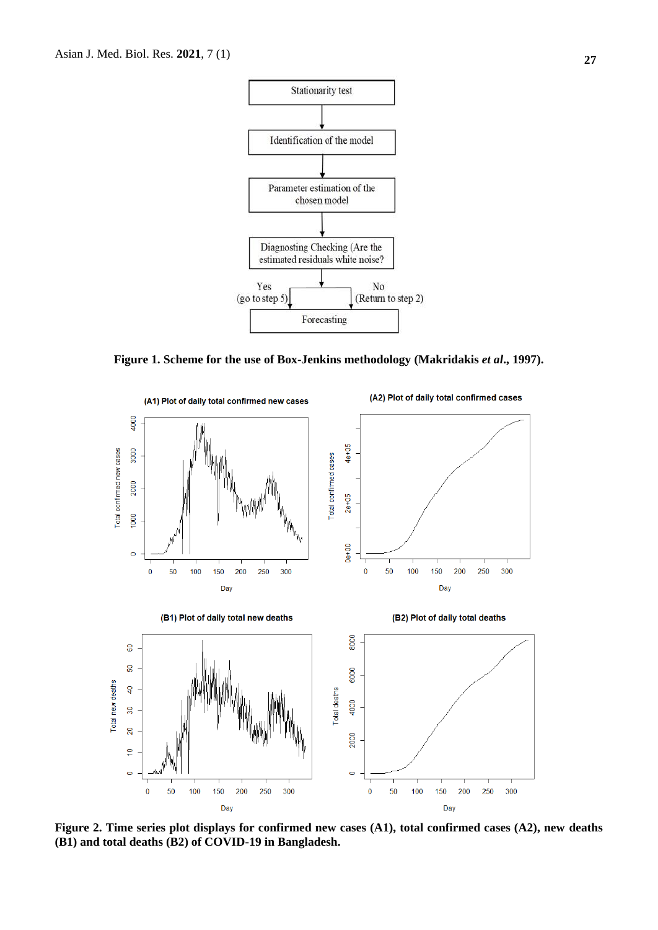

**Figure 1. Scheme for the use of Box-Jenkins methodology (Makridakis** *et al***., 1997).**



**Figure 2. Time series plot displays for confirmed new cases (A1), total confirmed cases (A2), new deaths (B1) and total deaths (B2) of COVID-19 in Bangladesh.**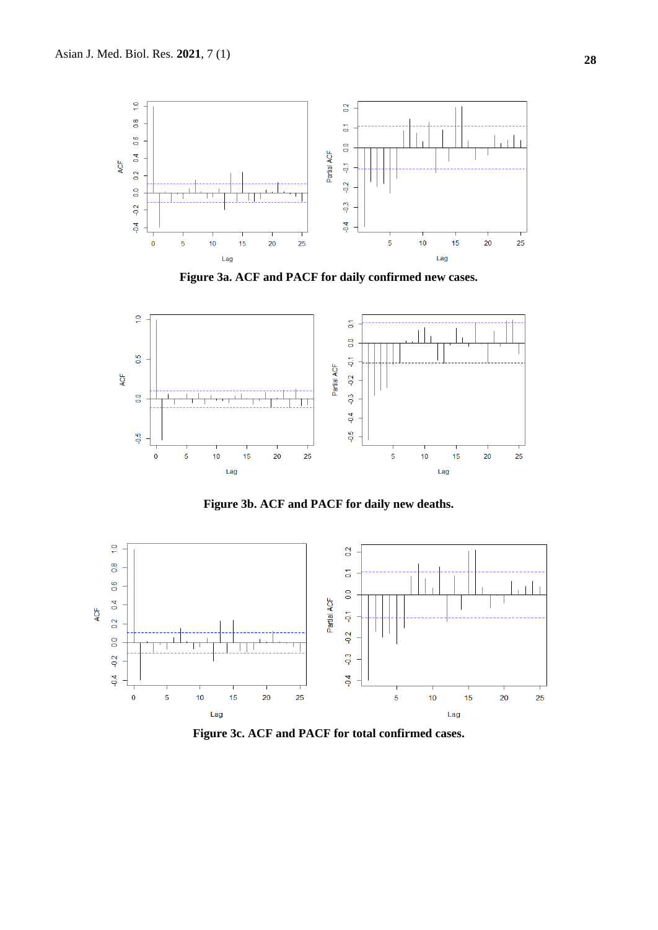

**Figure 3a. ACF and PACF for daily confirmed new cases.**



**Figure 3b. ACF and PACF for daily new deaths.**



**Figure 3c. ACF and PACF for total confirmed cases.**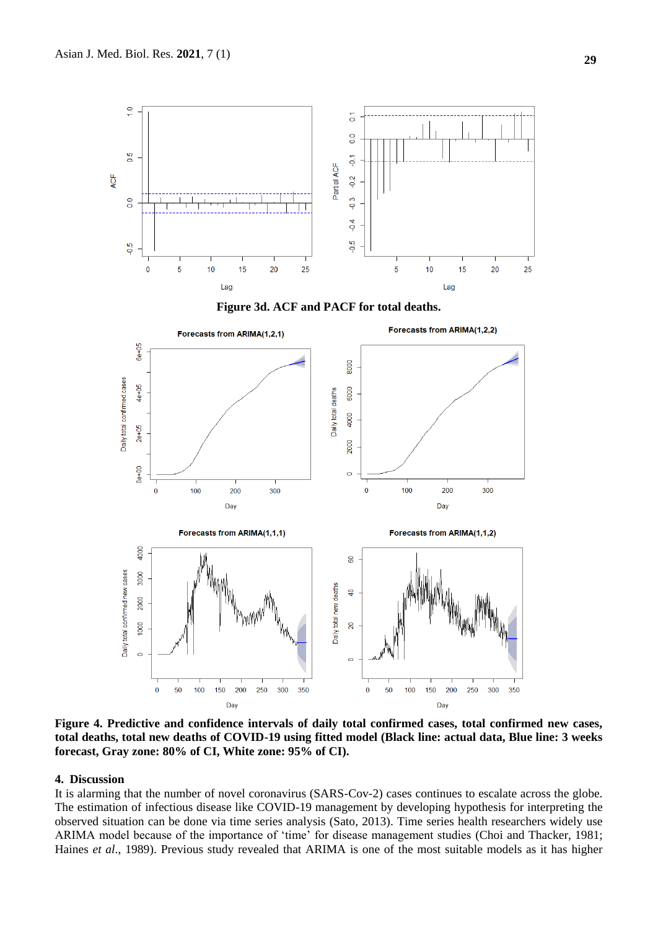

**Figure 4. Predictive and confidence intervals of daily total confirmed cases, total confirmed new cases, total deaths, total new deaths of COVID-19 using fitted model (Black line: actual data, Blue line: 3 weeks forecast, Gray zone: 80% of CI, White zone: 95% of CI).**

#### **4. Discussion**

It is alarming that the number of novel coronavirus (SARS-Cov-2) cases continues to escalate across the globe. The estimation of infectious disease like COVID-19 management by developing hypothesis for interpreting the observed situation can be done via time series analysis (Sato, 2013). Time series health researchers widely use ARIMA model because of the importance of 'time' for disease management studies (Choi and Thacker, 1981; Haines *et al*., 1989). Previous study revealed that ARIMA is one of the most suitable models as it has higher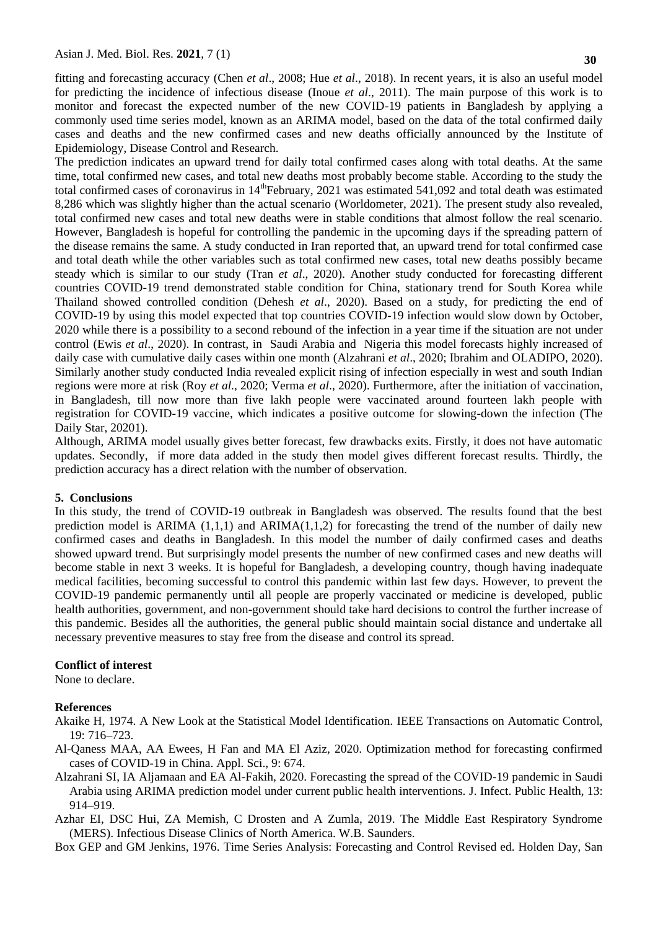fitting and forecasting accuracy (Chen *et al*., 2008; Hue *et al*., 2018). In recent years, it is also an useful model for predicting the incidence of infectious disease (Inoue *et al*., 2011). The main purpose of this work is to monitor and forecast the expected number of the new COVID-19 patients in Bangladesh by applying a commonly used time series model, known as an ARIMA model, based on the data of the total confirmed daily cases and deaths and the new confirmed cases and new deaths officially announced by the Institute of Epidemiology, Disease Control and Research.

The prediction indicates an upward trend for daily total confirmed cases along with total deaths. At the same time, total confirmed new cases, and total new deaths most probably become stable. According to the study the total confirmed cases of coronavirus in 14<sup>th</sup>February, 2021 was estimated 541,092 and total death was estimated 8,286 which was slightly higher than the actual scenario (Worldometer, 2021). The present study also revealed, total confirmed new cases and total new deaths were in stable conditions that almost follow the real scenario. However, Bangladesh is hopeful for controlling the pandemic in the upcoming days if the spreading pattern of the disease remains the same. A study conducted in Iran reported that, an upward trend for total confirmed case and total death while the other variables such as total confirmed new cases, total new deaths possibly became steady which is similar to our study (Tran *et al*., 2020). Another study conducted for forecasting different countries COVID-19 trend demonstrated stable condition for China, stationary trend for South Korea while Thailand showed controlled condition (Dehesh *et al*., 2020). Based on a study, for predicting the end of COVID-19 by using this model expected that top countries COVID-19 infection would slow down by October, 2020 while there is a possibility to a second rebound of the infection in a year time if the situation are not under control (Ewis *et al*., 2020). In contrast, in Saudi Arabia and Nigeria this model forecasts highly increased of daily case with cumulative daily cases within one month (Alzahrani *et al*., 2020; Ibrahim and OLADIPO, 2020). Similarly another study conducted India revealed explicit rising of infection especially in west and south Indian regions were more at risk (Roy *et al*., 2020; Verma *et al*., 2020). Furthermore, after the initiation of vaccination, in Bangladesh, till now more than five lakh people were vaccinated around fourteen lakh people with registration for COVID-19 vaccine, which indicates a positive outcome for slowing-down the infection (The Daily Star, 20201).

Although, ARIMA model usually gives better forecast, few drawbacks exits. Firstly, it does not have automatic updates. Secondly, if more data added in the study then model gives different forecast results. Thirdly, the prediction accuracy has a direct relation with the number of observation.

#### **5. Conclusions**

In this study, the trend of COVID-19 outbreak in Bangladesh was observed. The results found that the best prediction model is ARIMA  $(1,1,1)$  and ARIMA $(1,1,2)$  for forecasting the trend of the number of daily new confirmed cases and deaths in Bangladesh. In this model the number of daily confirmed cases and deaths showed upward trend. But surprisingly model presents the number of new confirmed cases and new deaths will become stable in next 3 weeks. It is hopeful for Bangladesh, a developing country, though having inadequate medical facilities, becoming successful to control this pandemic within last few days. However, to prevent the COVID-19 pandemic permanently until all people are properly vaccinated or medicine is developed, public health authorities, government, and non-government should take hard decisions to control the further increase of this pandemic. Besides all the authorities, the general public should maintain social distance and undertake all necessary preventive measures to stay free from the disease and control its spread.

#### **Conflict of interest**

None to declare.

#### **References**

- Akaike H, 1974. A New Look at the Statistical Model Identification. IEEE Transactions on Automatic Control, 19: 716–723.
- Al-Qaness MAA, AA Ewees, H Fan and MA El Aziz, 2020. Optimization method for forecasting confirmed cases of COVID-19 in China. Appl. Sci., 9: 674.
- Alzahrani SI, IA Aljamaan and EA Al-Fakih, 2020. Forecasting the spread of the COVID-19 pandemic in Saudi Arabia using ARIMA prediction model under current public health interventions. J. Infect. Public Health, 13: 914–919.
- Azhar EI, DSC Hui, ZA Memish, C Drosten and A Zumla, 2019. The Middle East Respiratory Syndrome (MERS). Infectious Disease Clinics of North America. W.B. Saunders.

Box GEP and GM Jenkins, 1976. Time Series Analysis: Forecasting and Control Revised ed. Holden Day, San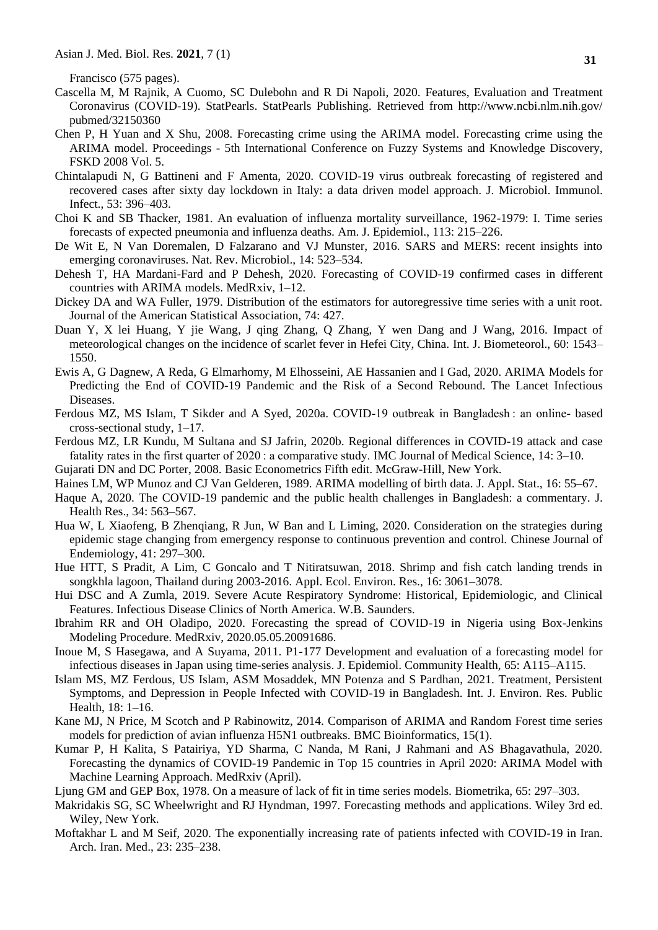Francisco (575 pages).

- Cascella M, M Rajnik, A Cuomo, SC Dulebohn and R Di Napoli, 2020. Features, Evaluation and Treatment Coronavirus (COVID-19). StatPearls. StatPearls Publishing. Retrieved from http://www.ncbi.nlm.nih.gov/ pubmed/32150360
- Chen P, H Yuan and X Shu, 2008. Forecasting crime using the ARIMA model. Forecasting crime using the ARIMA model. Proceedings - 5th International Conference on Fuzzy Systems and Knowledge Discovery, FSKD 2008 Vol. 5.
- Chintalapudi N, G Battineni and F Amenta, 2020. COVID-19 virus outbreak forecasting of registered and recovered cases after sixty day lockdown in Italy: a data driven model approach. J. Microbiol. Immunol. Infect., 53: 396–403.
- Choi K and SB Thacker, 1981. An evaluation of influenza mortality surveillance, 1962-1979: I. Time series forecasts of expected pneumonia and influenza deaths. Am. J. Epidemiol., 113: 215–226.
- De Wit E, N Van Doremalen, D Falzarano and VJ Munster, 2016. SARS and MERS: recent insights into emerging coronaviruses. Nat. Rev. Microbiol., 14: 523–534.
- Dehesh T, HA Mardani-Fard and P Dehesh, 2020. Forecasting of COVID-19 confirmed cases in different countries with ARIMA models. MedRxiv, 1–12.
- Dickey DA and WA Fuller, 1979. Distribution of the estimators for autoregressive time series with a unit root. Journal of the American Statistical Association, 74: 427.
- Duan Y, X lei Huang, Y jie Wang, J qing Zhang, Q Zhang, Y wen Dang and J Wang, 2016. Impact of meteorological changes on the incidence of scarlet fever in Hefei City, China. Int. J. Biometeorol., 60: 1543– 1550.
- Ewis A, G Dagnew, A Reda, G Elmarhomy, M Elhosseini, AE Hassanien and I Gad, 2020. ARIMA Models for Predicting the End of COVID-19 Pandemic and the Risk of a Second Rebound. The Lancet Infectious Diseases.
- Ferdous MZ, MS Islam, T Sikder and A Syed, 2020a. COVID-19 outbreak in Bangladesh : an online- based cross-sectional study, 1–17.
- Ferdous MZ, LR Kundu, M Sultana and SJ Jafrin, 2020b. Regional differences in COVID-19 attack and case fatality rates in the first quarter of 2020 : a comparative study. IMC Journal of Medical Science, 14: 3–10.
- Gujarati DN and DC Porter, 2008. Basic Econometrics Fifth edit. McGraw-Hill, New York.
- Haines LM, WP Munoz and CJ Van Gelderen, 1989. ARIMA modelling of birth data. J. Appl. Stat., 16: 55–67.
- Haque A, 2020. The COVID-19 pandemic and the public health challenges in Bangladesh: a commentary. J. Health Res., 34: 563–567.
- Hua W, L Xiaofeng, B Zhenqiang, R Jun, W Ban and L Liming, 2020. Consideration on the strategies during epidemic stage changing from emergency response to continuous prevention and control. Chinese Journal of Endemiology, 41: 297–300.
- Hue HTT, S Pradit, A Lim, C Goncalo and T Nitiratsuwan, 2018. Shrimp and fish catch landing trends in songkhla lagoon, Thailand during 2003-2016. Appl. Ecol. Environ. Res., 16: 3061–3078.
- Hui DSC and A Zumla, 2019. Severe Acute Respiratory Syndrome: Historical, Epidemiologic, and Clinical Features. Infectious Disease Clinics of North America. W.B. Saunders.
- Ibrahim RR and OH Oladipo, 2020. Forecasting the spread of COVID-19 in Nigeria using Box-Jenkins Modeling Procedure. MedRxiv, 2020.05.05.20091686.
- Inoue M, S Hasegawa, and A Suyama, 2011. P1-177 Development and evaluation of a forecasting model for infectious diseases in Japan using time-series analysis. J. Epidemiol. Community Health, 65: A115–A115.
- Islam MS, MZ Ferdous, US Islam, ASM Mosaddek, MN Potenza and S Pardhan, 2021. Treatment, Persistent Symptoms, and Depression in People Infected with COVID-19 in Bangladesh. Int. J. Environ. Res. Public Health, 18: 1–16.
- Kane MJ, N Price, M Scotch and P Rabinowitz, 2014. Comparison of ARIMA and Random Forest time series models for prediction of avian influenza H5N1 outbreaks. BMC Bioinformatics, 15(1).
- Kumar P, H Kalita, S Patairiya, YD Sharma, C Nanda, M Rani, J Rahmani and AS Bhagavathula, 2020. Forecasting the dynamics of COVID-19 Pandemic in Top 15 countries in April 2020: ARIMA Model with Machine Learning Approach. MedRxiv (April).
- Ljung GM and GEP Box, 1978. On a measure of lack of fit in time series models. Biometrika, 65: 297–303.
- Makridakis SG, SC Wheelwright and RJ Hyndman, 1997. Forecasting methods and applications. Wiley 3rd ed. Wiley, New York.
- Moftakhar L and M Seif, 2020. The exponentially increasing rate of patients infected with COVID-19 in Iran. Arch. Iran. Med., 23: 235–238.